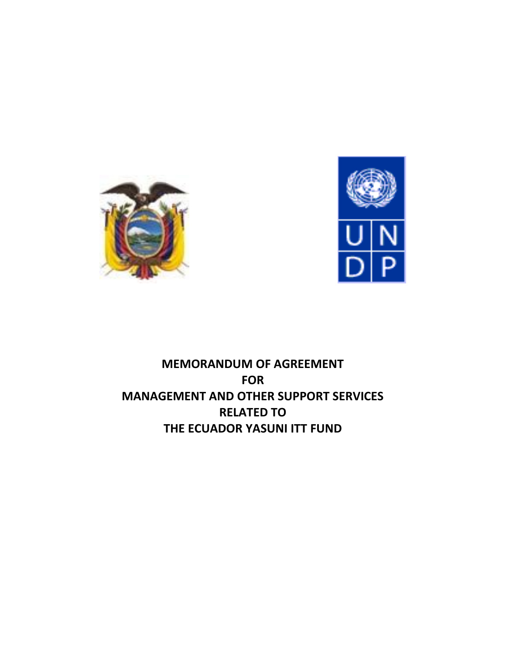



# **MEMORANDUM OF AGREEMENT FOR MANAGEMENT AND OTHER SUPPORT SERVICES RELATED TO THE ECUADOR YASUNI ITT FUND**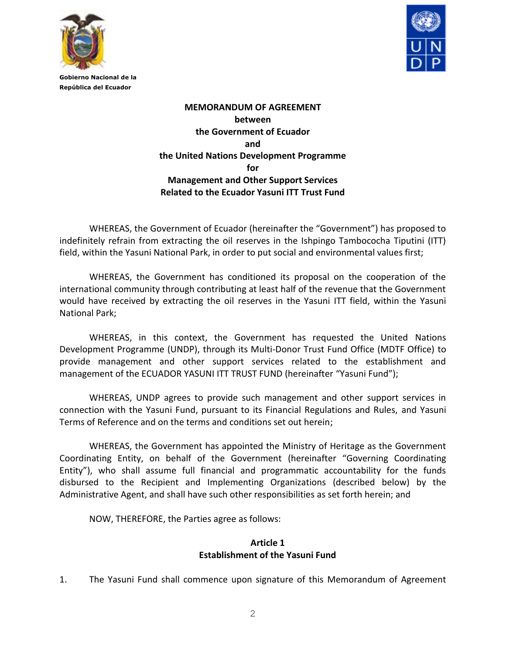



> **MEMORANDUM OF AGREEMENT between the Government of Ecuador and the United Nations Development Programme for Management and Other Support Services Related to the Ecuador Yasuni ITT Trust Fund**

WHEREAS, the Government of Ecuador (hereinafter the "Government") has proposed to indefinitely refrain from extracting the oil reserves in the Ishpingo Tambococha Tiputini (ITT) field, within the Yasuni National Park, in order to put social and environmental values first;

WHEREAS, the Government has conditioned its proposal on the cooperation of the international community through contributing at least half of the revenue that the Government would have received by extracting the oil reserves in the Yasuni ITT field, within the Yasuni National Park;

WHEREAS, in this context, the Government has requested the United Nations Development Programme (UNDP), through its Multi-Donor Trust Fund Office (MDTF Office) to provide management and other support services related to the establishment and management of the ECUADOR YASUNI ITT TRUST FUND (hereinafter "Yasuni Fund");

WHEREAS, UNDP agrees to provide such management and other support services in connection with the Yasuni Fund, pursuant to its Financial Regulations and Rules, and Yasuni Terms of Reference and on the terms and conditions set out herein;

WHEREAS, the Government has appointed the Ministry of Heritage as the Government Coordinating Entity, on behalf of the Government (hereinafter "Governing Coordinating Entity"), who shall assume full financial and programmatic accountability for the funds disbursed to the Recipient and Implementing Organizations (described below) by the Administrative Agent, and shall have such other responsibilities as set forth herein; and

NOW, THEREFORE, the Parties agree as follows:

#### **Article 1 Establishment of the Yasuni Fund**

1. The Yasuni Fund shall commence upon signature of this Memorandum of Agreement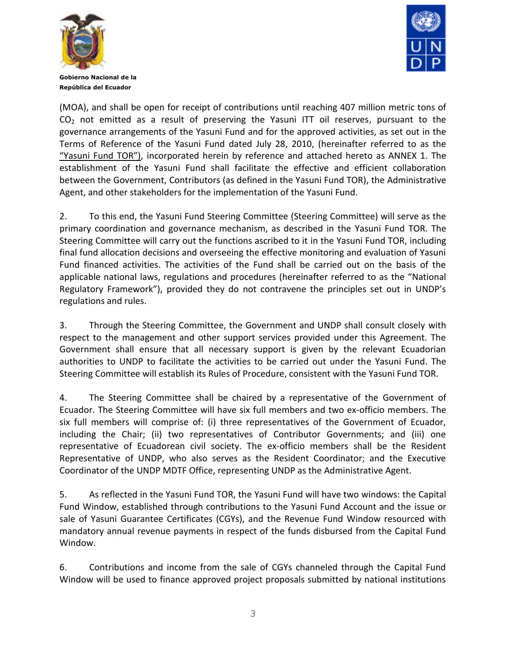



(MOA), and shall be open for receipt of contributions until reaching 407 million metric tons of CO<sub>2</sub> not emitted as a result of preserving the Yasuni ITT oil reserves, pursuant to the governance arrangements of the Yasuni Fund and for the approved activities, as set out in the Terms of Reference of the Yasuni Fund dated July 28, 2010, (hereinafter referred to as the "Yasuni Fund TOR"), incorporated herein by reference and attached hereto as ANNEX 1. The establishment of the Yasuni Fund shall facilitate the effective and efficient collaboration between the Government, Contributors (as defined in the Yasuni Fund TOR), the Administrative Agent, and other stakeholders for the implementation of the Yasuni Fund.

2. To this end, the Yasuni Fund Steering Committee (Steering Committee) will serve as the primary coordination and governance mechanism, as described in the Yasuni Fund TOR. The Steering Committee will carry out the functions ascribed to it in the Yasuni Fund TOR, including final fund allocation decisions and overseeing the effective monitoring and evaluation of Yasuni Fund financed activities. The activities of the Fund shall be carried out on the basis of the applicable national laws, regulations and procedures (hereinafter referred to as the "National Regulatory Framework"), provided they do not contravene the principles set out in UNDP's regulations and rules.

3. Through the Steering Committee, the Government and UNDP shall consult closely with respect to the management and other support services provided under this Agreement. The Government shall ensure that all necessary support is given by the relevant Ecuadorian authorities to UNDP to facilitate the activities to be carried out under the Yasuni Fund. The Steering Committee will establish its Rules of Procedure, consistent with the Yasuni Fund TOR.

4. The Steering Committee shall be chaired by a representative of the Government of Ecuador. The Steering Committee will have six full members and two ex-officio members. The six full members will comprise of: (i) three representatives of the Government of Ecuador, including the Chair; (ii) two representatives of Contributor Governments; and (iii) one representative of Ecuadorean civil society. The ex-officio members shall be the Resident Representative of UNDP, who also serves as the Resident Coordinator; and the Executive Coordinator of the UNDP MDTF Office, representing UNDP as the Administrative Agent.

5. As reflected in the Yasuni Fund TOR, the Yasuni Fund will have two windows: the Capital Fund Window, established through contributions to the Yasuni Fund Account and the issue or sale of Yasuni Guarantee Certificates (CGYs), and the Revenue Fund Window resourced with mandatory annual revenue payments in respect of the funds disbursed from the Capital Fund Window.

6. Contributions and income from the sale of CGYs channeled through the Capital Fund Window will be used to finance approved project proposals submitted by national institutions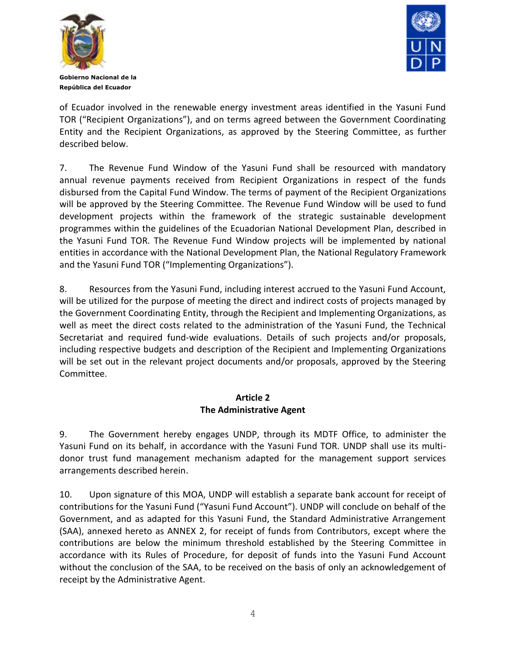



**Gobierno Nacional de la República del Ecuador**

of Ecuador involved in the renewable energy investment areas identified in the Yasuni Fund TOR ("Recipient Organizations"), and on terms agreed between the Government Coordinating Entity and the Recipient Organizations, as approved by the Steering Committee, as further described below.

7. The Revenue Fund Window of the Yasuni Fund shall be resourced with mandatory annual revenue payments received from Recipient Organizations in respect of the funds disbursed from the Capital Fund Window. The terms of payment of the Recipient Organizations will be approved by the Steering Committee. The Revenue Fund Window will be used to fund development projects within the framework of the strategic sustainable development programmes within the guidelines of the Ecuadorian National Development Plan, described in the Yasuni Fund TOR. The Revenue Fund Window projects will be implemented by national entities in accordance with the National Development Plan, the National Regulatory Framework and the Yasuni Fund TOR ("Implementing Organizations").

8. Resources from the Yasuni Fund, including interest accrued to the Yasuni Fund Account, will be utilized for the purpose of meeting the direct and indirect costs of projects managed by the Government Coordinating Entity, through the Recipient and Implementing Organizations, as well as meet the direct costs related to the administration of the Yasuni Fund, the Technical Secretariat and required fund-wide evaluations. Details of such projects and/or proposals, including respective budgets and description of the Recipient and Implementing Organizations will be set out in the relevant project documents and/or proposals, approved by the Steering Committee.

#### **Article 2 The Administrative Agent**

9. The Government hereby engages UNDP, through its MDTF Office, to administer the Yasuni Fund on its behalf, in accordance with the Yasuni Fund TOR. UNDP shall use its multidonor trust fund management mechanism adapted for the management support services arrangements described herein.

10. Upon signature of this MOA, UNDP will establish a separate bank account for receipt of contributions for the Yasuni Fund ("Yasuni Fund Account"). UNDP will conclude on behalf of the Government, and as adapted for this Yasuni Fund, the Standard Administrative Arrangement (SAA), annexed hereto as ANNEX 2, for receipt of funds from Contributors, except where the contributions are below the minimum threshold established by the Steering Committee in accordance with its Rules of Procedure, for deposit of funds into the Yasuni Fund Account without the conclusion of the SAA, to be received on the basis of only an acknowledgement of receipt by the Administrative Agent.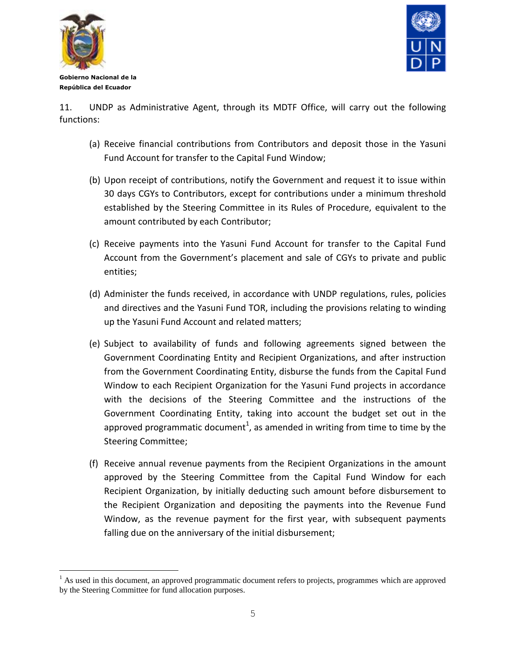

÷.



**Gobierno Nacional de la República del Ecuador**

11. UNDP as Administrative Agent, through its MDTF Office, will carry out the following functions:

- (a) Receive financial contributions from Contributors and deposit those in the Yasuni Fund Account for transfer to the Capital Fund Window;
- (b) Upon receipt of contributions, notify the Government and request it to issue within 30 days CGYs to Contributors, except for contributions under a minimum threshold established by the Steering Committee in its Rules of Procedure, equivalent to the amount contributed by each Contributor;
- (c) Receive payments into the Yasuni Fund Account for transfer to the Capital Fund Account from the Government's placement and sale of CGYs to private and public entities;
- (d) Administer the funds received, in accordance with UNDP regulations, rules, policies and directives and the Yasuni Fund TOR, including the provisions relating to winding up the Yasuni Fund Account and related matters;
- (e) Subject to availability of funds and following agreements signed between the Government Coordinating Entity and Recipient Organizations, and after instruction from the Government Coordinating Entity, disburse the funds from the Capital Fund Window to each Recipient Organization for the Yasuni Fund projects in accordance with the decisions of the Steering Committee and the instructions of the Government Coordinating Entity, taking into account the budget set out in the approved programmatic document<sup>1</sup>, as amended in writing from time to time by the Steering Committee;
- (f) Receive annual revenue payments from the Recipient Organizations in the amount approved by the Steering Committee from the Capital Fund Window for each Recipient Organization, by initially deducting such amount before disbursement to the Recipient Organization and depositing the payments into the Revenue Fund Window, as the revenue payment for the first year, with subsequent payments falling due on the anniversary of the initial disbursement;

<sup>&</sup>lt;sup>1</sup> As used in this document, an approved programmatic document refers to projects, programmes which are approved by the Steering Committee for fund allocation purposes.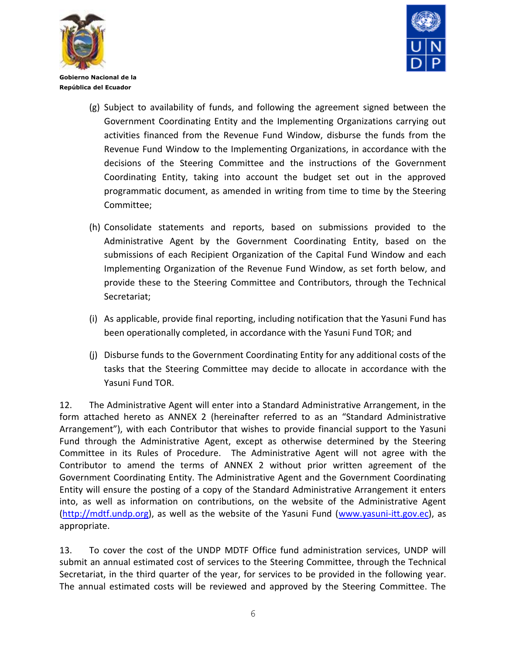



- (g) Subject to availability of funds, and following the agreement signed between the Government Coordinating Entity and the Implementing Organizations carrying out activities financed from the Revenue Fund Window, disburse the funds from the Revenue Fund Window to the Implementing Organizations, in accordance with the decisions of the Steering Committee and the instructions of the Government Coordinating Entity, taking into account the budget set out in the approved programmatic document, as amended in writing from time to time by the Steering Committee;
- (h) Consolidate statements and reports, based on submissions provided to the Administrative Agent by the Government Coordinating Entity, based on the submissions of each Recipient Organization of the Capital Fund Window and each Implementing Organization of the Revenue Fund Window, as set forth below, and provide these to the Steering Committee and Contributors, through the Technical Secretariat;
- (i) As applicable, provide final reporting, including notification that the Yasuni Fund has been operationally completed, in accordance with the Yasuni Fund TOR; and
- (j) Disburse funds to the Government Coordinating Entity for any additional costs of the tasks that the Steering Committee may decide to allocate in accordance with the Yasuni Fund TOR.

12. The Administrative Agent will enter into a Standard Administrative Arrangement, in the form attached hereto as ANNEX 2 (hereinafter referred to as an "Standard Administrative Arrangement"), with each Contributor that wishes to provide financial support to the Yasuni Fund through the Administrative Agent, except as otherwise determined by the Steering Committee in its Rules of Procedure. The Administrative Agent will not agree with the Contributor to amend the terms of ANNEX 2 without prior written agreement of the Government Coordinating Entity. The Administrative Agent and the Government Coordinating Entity will ensure the posting of a copy of the Standard Administrative Arrangement it enters into, as well as information on contributions, on the website of the Administrative Agent [\(http://mdtf.undp.org\)](http://mdtf.undp.org/), as well as the website of the Yasuni Fund [\(www.yasuni-itt.gov.ec\)](http://www.yasuni-itt.gov.ec/), as appropriate.

13. To cover the cost of the UNDP MDTF Office fund administration services, UNDP will submit an annual estimated cost of services to the Steering Committee, through the Technical Secretariat, in the third quarter of the year, for services to be provided in the following year. The annual estimated costs will be reviewed and approved by the Steering Committee. The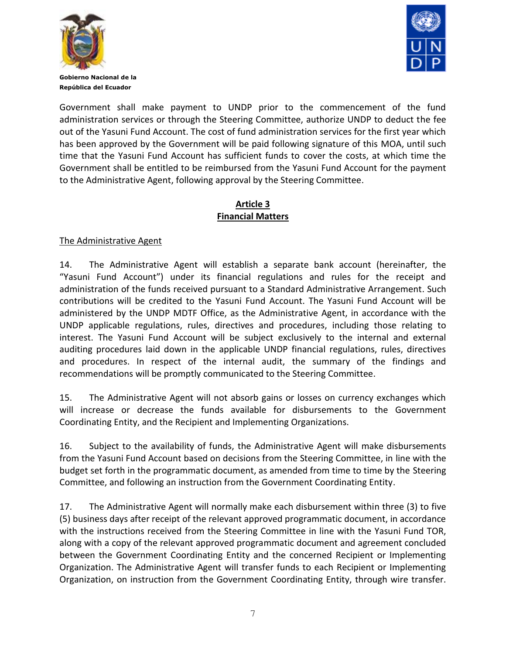



Government shall make payment to UNDP prior to the commencement of the fund administration services or through the Steering Committee, authorize UNDP to deduct the fee out of the Yasuni Fund Account. The cost of fund administration services for the first year which has been approved by the Government will be paid following signature of this MOA, until such time that the Yasuni Fund Account has sufficient funds to cover the costs, at which time the Government shall be entitled to be reimbursed from the Yasuni Fund Account for the payment to the Administrative Agent, following approval by the Steering Committee.

## **Article 3 Financial Matters**

## The Administrative Agent

14. The Administrative Agent will establish a separate bank account (hereinafter, the "Yasuni Fund Account") under its financial regulations and rules for the receipt and administration of the funds received pursuant to a Standard Administrative Arrangement. Such contributions will be credited to the Yasuni Fund Account. The Yasuni Fund Account will be administered by the UNDP MDTF Office, as the Administrative Agent, in accordance with the UNDP applicable regulations, rules, directives and procedures, including those relating to interest. The Yasuni Fund Account will be subject exclusively to the internal and external auditing procedures laid down in the applicable UNDP financial regulations, rules, directives and procedures. In respect of the internal audit, the summary of the findings and recommendations will be promptly communicated to the Steering Committee.

15. The Administrative Agent will not absorb gains or losses on currency exchanges which will increase or decrease the funds available for disbursements to the Government Coordinating Entity, and the Recipient and Implementing Organizations.

16. Subject to the availability of funds, the Administrative Agent will make disbursements from the Yasuni Fund Account based on decisions from the Steering Committee, in line with the budget set forth in the programmatic document, as amended from time to time by the Steering Committee, and following an instruction from the Government Coordinating Entity.

17. The Administrative Agent will normally make each disbursement within three (3) to five (5) business days after receipt of the relevant approved programmatic document, in accordance with the instructions received from the Steering Committee in line with the Yasuni Fund TOR, along with a copy of the relevant approved programmatic document and agreement concluded between the Government Coordinating Entity and the concerned Recipient or Implementing Organization. The Administrative Agent will transfer funds to each Recipient or Implementing Organization, on instruction from the Government Coordinating Entity, through wire transfer.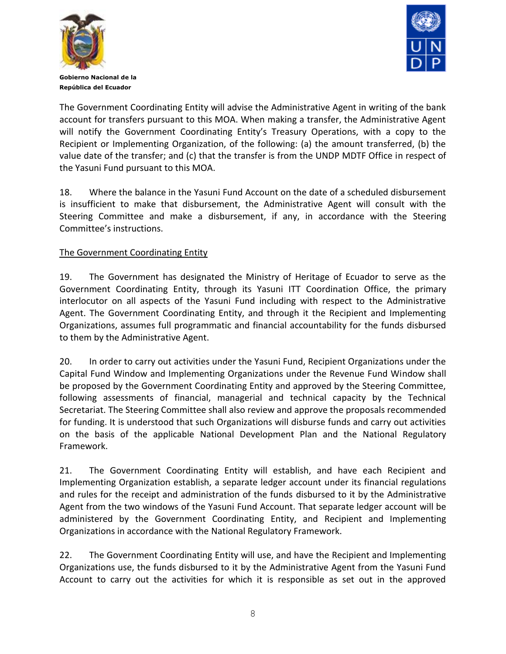



The Government Coordinating Entity will advise the Administrative Agent in writing of the bank account for transfers pursuant to this MOA. When making a transfer, the Administrative Agent will notify the Government Coordinating Entity's Treasury Operations, with a copy to the Recipient or Implementing Organization, of the following: (a) the amount transferred, (b) the value date of the transfer; and (c) that the transfer is from the UNDP MDTF Office in respect of the Yasuni Fund pursuant to this MOA.

18. Where the balance in the Yasuni Fund Account on the date of a scheduled disbursement is insufficient to make that disbursement, the Administrative Agent will consult with the Steering Committee and make a disbursement, if any, in accordance with the Steering Committee's instructions.

## The Government Coordinating Entity

19. The Government has designated the Ministry of Heritage of Ecuador to serve as the Government Coordinating Entity, through its Yasuni ITT Coordination Office, the primary interlocutor on all aspects of the Yasuni Fund including with respect to the Administrative Agent. The Government Coordinating Entity, and through it the Recipient and Implementing Organizations, assumes full programmatic and financial accountability for the funds disbursed to them by the Administrative Agent.

20. In order to carry out activities under the Yasuni Fund, Recipient Organizations under the Capital Fund Window and Implementing Organizations under the Revenue Fund Window shall be proposed by the Government Coordinating Entity and approved by the Steering Committee, following assessments of financial, managerial and technical capacity by the Technical Secretariat. The Steering Committee shall also review and approve the proposals recommended for funding. It is understood that such Organizations will disburse funds and carry out activities on the basis of the applicable National Development Plan and the National Regulatory Framework.

21. The Government Coordinating Entity will establish, and have each Recipient and Implementing Organization establish, a separate ledger account under its financial regulations and rules for the receipt and administration of the funds disbursed to it by the Administrative Agent from the two windows of the Yasuni Fund Account. That separate ledger account will be administered by the Government Coordinating Entity, and Recipient and Implementing Organizations in accordance with the National Regulatory Framework.

22. The Government Coordinating Entity will use, and have the Recipient and Implementing Organizations use, the funds disbursed to it by the Administrative Agent from the Yasuni Fund Account to carry out the activities for which it is responsible as set out in the approved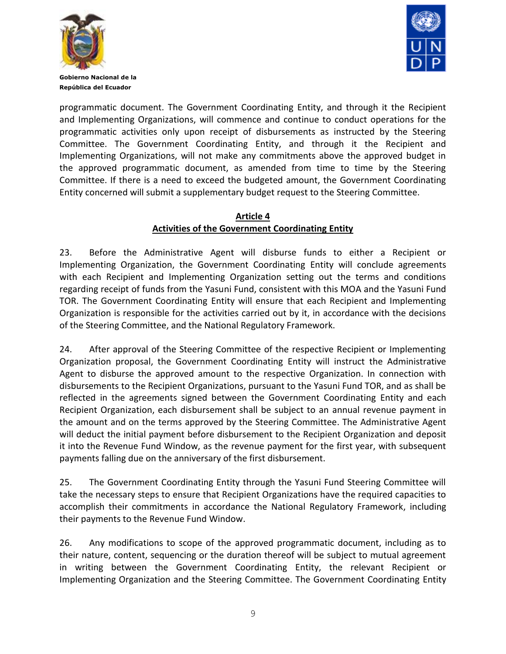



programmatic document. The Government Coordinating Entity, and through it the Recipient and Implementing Organizations, will commence and continue to conduct operations for the programmatic activities only upon receipt of disbursements as instructed by the Steering Committee. The Government Coordinating Entity, and through it the Recipient and Implementing Organizations, will not make any commitments above the approved budget in the approved programmatic document, as amended from time to time by the Steering Committee. If there is a need to exceed the budgeted amount, the Government Coordinating Entity concerned will submit a supplementary budget request to the Steering Committee.

#### **Article 4 Activities of the Government Coordinating Entity**

23. Before the Administrative Agent will disburse funds to either a Recipient or Implementing Organization, the Government Coordinating Entity will conclude agreements with each Recipient and Implementing Organization setting out the terms and conditions regarding receipt of funds from the Yasuni Fund, consistent with this MOA and the Yasuni Fund TOR. The Government Coordinating Entity will ensure that each Recipient and Implementing Organization is responsible for the activities carried out by it, in accordance with the decisions of the Steering Committee, and the National Regulatory Framework.

24. After approval of the Steering Committee of the respective Recipient or Implementing Organization proposal, the Government Coordinating Entity will instruct the Administrative Agent to disburse the approved amount to the respective Organization. In connection with disbursements to the Recipient Organizations, pursuant to the Yasuni Fund TOR, and as shall be reflected in the agreements signed between the Government Coordinating Entity and each Recipient Organization, each disbursement shall be subject to an annual revenue payment in the amount and on the terms approved by the Steering Committee. The Administrative Agent will deduct the initial payment before disbursement to the Recipient Organization and deposit it into the Revenue Fund Window, as the revenue payment for the first year, with subsequent payments falling due on the anniversary of the first disbursement.

25. The Government Coordinating Entity through the Yasuni Fund Steering Committee will take the necessary steps to ensure that Recipient Organizations have the required capacities to accomplish their commitments in accordance the National Regulatory Framework, including their payments to the Revenue Fund Window.

26. Any modifications to scope of the approved programmatic document, including as to their nature, content, sequencing or the duration thereof will be subject to mutual agreement in writing between the Government Coordinating Entity, the relevant Recipient or Implementing Organization and the Steering Committee. The Government Coordinating Entity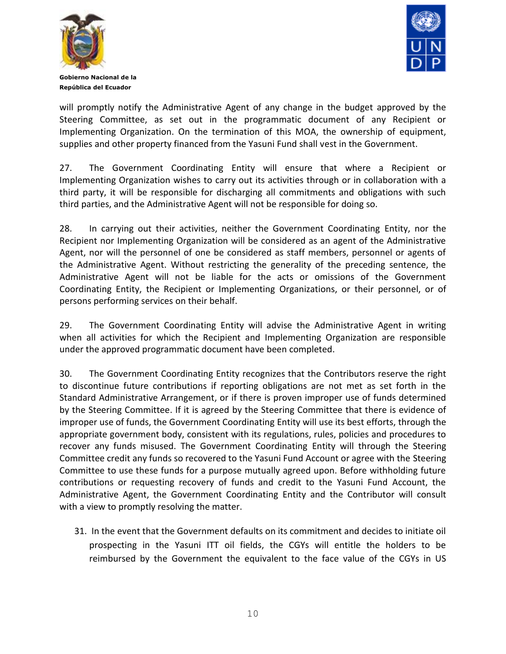



will promptly notify the Administrative Agent of any change in the budget approved by the Steering Committee, as set out in the programmatic document of any Recipient or Implementing Organization. On the termination of this MOA, the ownership of equipment, supplies and other property financed from the Yasuni Fund shall vest in the Government.

27. The Government Coordinating Entity will ensure that where a Recipient or Implementing Organization wishes to carry out its activities through or in collaboration with a third party, it will be responsible for discharging all commitments and obligations with such third parties, and the Administrative Agent will not be responsible for doing so.

28. In carrying out their activities, neither the Government Coordinating Entity, nor the Recipient nor Implementing Organization will be considered as an agent of the Administrative Agent, nor will the personnel of one be considered as staff members, personnel or agents of the Administrative Agent. Without restricting the generality of the preceding sentence, the Administrative Agent will not be liable for the acts or omissions of the Government Coordinating Entity, the Recipient or Implementing Organizations, or their personnel, or of persons performing services on their behalf.

29. The Government Coordinating Entity will advise the Administrative Agent in writing when all activities for which the Recipient and Implementing Organization are responsible under the approved programmatic document have been completed.

30. The Government Coordinating Entity recognizes that the Contributors reserve the right to discontinue future contributions if reporting obligations are not met as set forth in the Standard Administrative Arrangement, or if there is proven improper use of funds determined by the Steering Committee. If it is agreed by the Steering Committee that there is evidence of improper use of funds, the Government Coordinating Entity will use its best efforts, through the appropriate government body, consistent with its regulations, rules, policies and procedures to recover any funds misused. The Government Coordinating Entity will through the Steering Committee credit any funds so recovered to the Yasuni Fund Account or agree with the Steering Committee to use these funds for a purpose mutually agreed upon. Before withholding future contributions or requesting recovery of funds and credit to the Yasuni Fund Account, the Administrative Agent, the Government Coordinating Entity and the Contributor will consult with a view to promptly resolving the matter.

31. In the event that the Government defaults on its commitment and decides to initiate oil prospecting in the Yasuni ITT oil fields, the CGYs will entitle the holders to be reimbursed by the Government the equivalent to the face value of the CGYs in US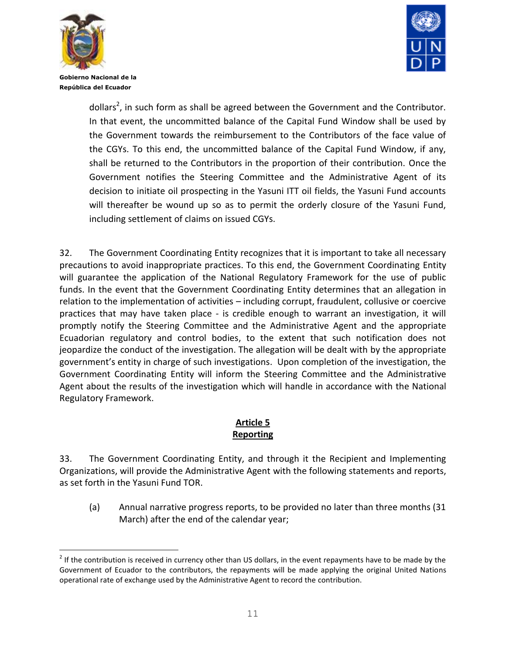

÷.



**Gobierno Nacional de la República del Ecuador**

> dollars<sup>2</sup>, in such form as shall be agreed between the Government and the Contributor. In that event, the uncommitted balance of the Capital Fund Window shall be used by the Government towards the reimbursement to the Contributors of the face value of the CGYs. To this end, the uncommitted balance of the Capital Fund Window, if any, shall be returned to the Contributors in the proportion of their contribution. Once the Government notifies the Steering Committee and the Administrative Agent of its decision to initiate oil prospecting in the Yasuni ITT oil fields, the Yasuni Fund accounts will thereafter be wound up so as to permit the orderly closure of the Yasuni Fund, including settlement of claims on issued CGYs.

32. The Government Coordinating Entity recognizes that it is important to take all necessary precautions to avoid inappropriate practices. To this end, the Government Coordinating Entity will guarantee the application of the National Regulatory Framework for the use of public funds. In the event that the Government Coordinating Entity determines that an allegation in relation to the implementation of activities – including corrupt, fraudulent, collusive or coercive practices that may have taken place - is credible enough to warrant an investigation, it will promptly notify the Steering Committee and the Administrative Agent and the appropriate Ecuadorian regulatory and control bodies, to the extent that such notification does not jeopardize the conduct of the investigation. The allegation will be dealt with by the appropriate government's entity in charge of such investigations. Upon completion of the investigation, the Government Coordinating Entity will inform the Steering Committee and the Administrative Agent about the results of the investigation which will handle in accordance with the National Regulatory Framework.

# **Article 5 Reporting**

33. The Government Coordinating Entity, and through it the Recipient and Implementing Organizations, will provide the Administrative Agent with the following statements and reports, as set forth in the Yasuni Fund TOR.

(a) Annual narrative progress reports, to be provided no later than three months (31 March) after the end of the calendar year;

 $2$  If the contribution is received in currency other than US dollars, in the event repayments have to be made by the Government of Ecuador to the contributors, the repayments will be made applying the original United Nations operational rate of exchange used by the Administrative Agent to record the contribution.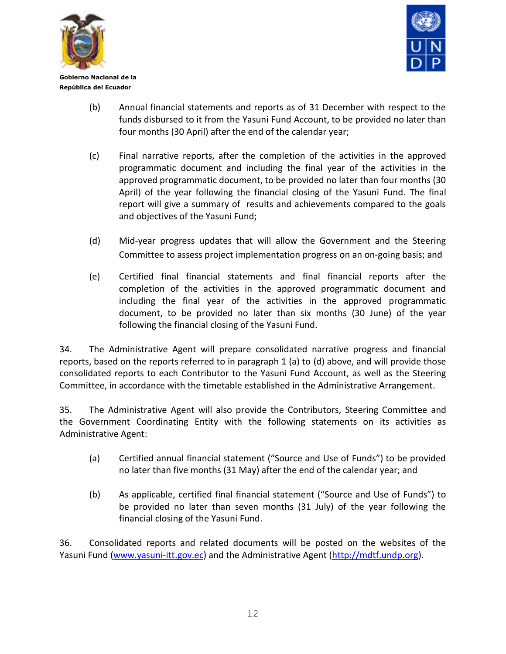



- (b) Annual financial statements and reports as of 31 December with respect to the funds disbursed to it from the Yasuni Fund Account, to be provided no later than four months (30 April) after the end of the calendar year;
- (c) Final narrative reports, after the completion of the activities in the approved programmatic document and including the final year of the activities in the approved programmatic document, to be provided no later than four months (30 April) of the year following the financial closing of the Yasuni Fund. The final report will give a summary of results and achievements compared to the goals and objectives of the Yasuni Fund;
- (d) Mid-year progress updates that will allow the Government and the Steering Committee to assess project implementation progress on an on-going basis; and
- (e) Certified final financial statements and final financial reports after the completion of the activities in the approved programmatic document and including the final year of the activities in the approved programmatic document, to be provided no later than six months (30 June) of the year following the financial closing of the Yasuni Fund.

34. The Administrative Agent will prepare consolidated narrative progress and financial reports, based on the reports referred to in paragraph 1 (a) to (d) above, and will provide those consolidated reports to each Contributor to the Yasuni Fund Account, as well as the Steering Committee, in accordance with the timetable established in the Administrative Arrangement.

35. The Administrative Agent will also provide the Contributors, Steering Committee and the Government Coordinating Entity with the following statements on its activities as Administrative Agent:

- (a) Certified annual financial statement ("Source and Use of Funds") to be provided no later than five months (31 May) after the end of the calendar year; and
- (b) As applicable, certified final financial statement ("Source and Use of Funds") to be provided no later than seven months (31 July) of the year following the financial closing of the Yasuni Fund.

36. Consolidated reports and related documents will be posted on the websites of the Yasuni Fund [\(www.yasuni-itt.gov.ec\)](http://www.yasuni-itt.gov.ec/) and the Administrative Agent [\(http://mdtf.undp.org\)](http://mdtf.undp.org/).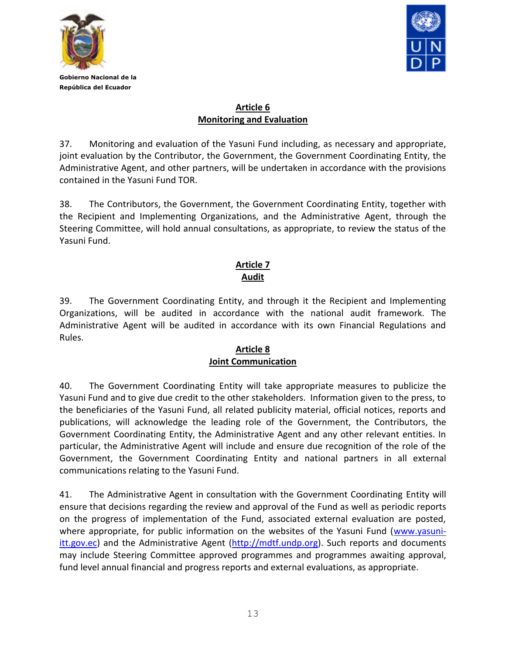



## **Article 6 Monitoring and Evaluation**

37. Monitoring and evaluation of the Yasuni Fund including, as necessary and appropriate, joint evaluation by the Contributor, the Government, the Government Coordinating Entity, the Administrative Agent, and other partners, will be undertaken in accordance with the provisions contained in the Yasuni Fund TOR.

38. The Contributors, the Government, the Government Coordinating Entity, together with the Recipient and Implementing Organizations, and the Administrative Agent, through the Steering Committee, will hold annual consultations, as appropriate, to review the status of the Yasuni Fund.

## **Article 7 Audit**

39. The Government Coordinating Entity, and through it the Recipient and Implementing Organizations, will be audited in accordance with the national audit framework. The Administrative Agent will be audited in accordance with its own Financial Regulations and Rules.

#### **Article 8 Joint Communication**

40. The Government Coordinating Entity will take appropriate measures to publicize the Yasuni Fund and to give due credit to the other stakeholders. Information given to the press, to the beneficiaries of the Yasuni Fund, all related publicity material, official notices, reports and publications, will acknowledge the leading role of the Government, the Contributors, the Government Coordinating Entity, the Administrative Agent and any other relevant entities. In particular, the Administrative Agent will include and ensure due recognition of the role of the Government, the Government Coordinating Entity and national partners in all external communications relating to the Yasuni Fund.

41. The Administrative Agent in consultation with the Government Coordinating Entity will ensure that decisions regarding the review and approval of the Fund as well as periodic reports on the progress of implementation of the Fund, associated external evaluation are posted, where appropriate, for public information on the websites of the Yasuni Fund [\(www.yasuni-](http://www.yasuni-itt.gov.ec/) $\frac{ittgovec}{}$  and the Administrative Agent  $\frac{http://mdtf.undp.org}{}$ . Such reports and documents may include Steering Committee approved programmes and programmes awaiting approval, fund level annual financial and progress reports and external evaluations, as appropriate.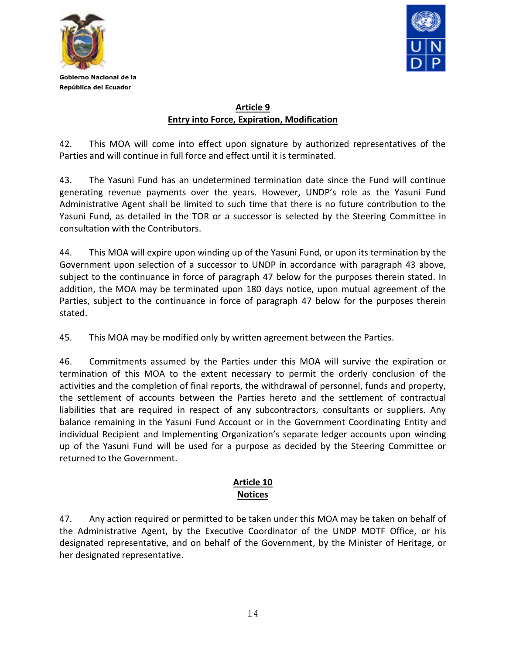



#### **Article 9 Entry into Force, Expiration, Modification**

42. This MOA will come into effect upon signature by authorized representatives of the Parties and will continue in full force and effect until it is terminated.

43. The Yasuni Fund has an undetermined termination date since the Fund will continue generating revenue payments over the years. However, UNDP's role as the Yasuni Fund Administrative Agent shall be limited to such time that there is no future contribution to the Yasuni Fund, as detailed in the TOR or a successor is selected by the Steering Committee in consultation with the Contributors.

44. This MOA will expire upon winding up of the Yasuni Fund, or upon its termination by the Government upon selection of a successor to UNDP in accordance with paragraph 43 above, subject to the continuance in force of paragraph 47 below for the purposes therein stated. In addition, the MOA may be terminated upon 180 days notice, upon mutual agreement of the Parties, subject to the continuance in force of paragraph 47 below for the purposes therein stated.

45. This MOA may be modified only by written agreement between the Parties.

46. Commitments assumed by the Parties under this MOA will survive the expiration or termination of this MOA to the extent necessary to permit the orderly conclusion of the activities and the completion of final reports, the withdrawal of personnel, funds and property, the settlement of accounts between the Parties hereto and the settlement of contractual liabilities that are required in respect of any subcontractors, consultants or suppliers. Any balance remaining in the Yasuni Fund Account or in the Government Coordinating Entity and individual Recipient and Implementing Organization's separate ledger accounts upon winding up of the Yasuni Fund will be used for a purpose as decided by the Steering Committee or returned to the Government.

## **Article 10 Notices**

47. Any action required or permitted to be taken under this MOA may be taken on behalf of the Administrative Agent, by the Executive Coordinator of the UNDP MDTF Office, or his designated representative, and on behalf of the Government, by the Minister of Heritage, or her designated representative.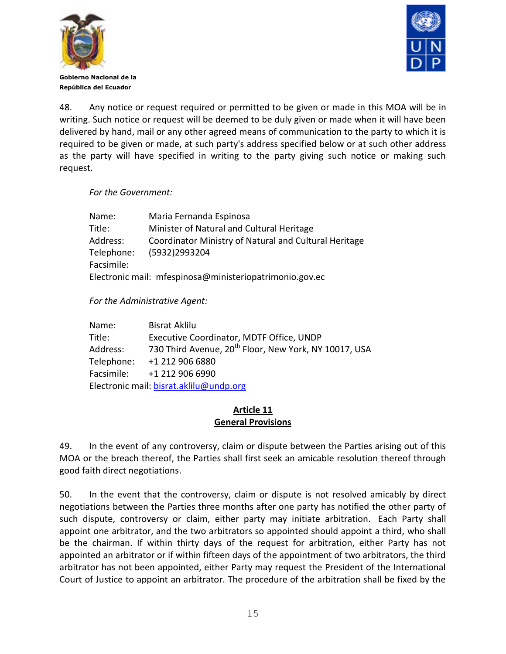



48. Any notice or request required or permitted to be given or made in this MOA will be in writing. Such notice or request will be deemed to be duly given or made when it will have been delivered by hand, mail or any other agreed means of communication to the party to which it is required to be given or made, at such party's address specified below or at such other address as the party will have specified in writing to the party giving such notice or making such request.

#### *For the Government:*

| Name:      | Maria Fernanda Espinosa                                 |  |
|------------|---------------------------------------------------------|--|
| Title:     | Minister of Natural and Cultural Heritage               |  |
| Address:   | Coordinator Ministry of Natural and Cultural Heritage   |  |
| Telephone: | (5932)2993204                                           |  |
| Facsimile: |                                                         |  |
|            | Electronic mail: mfespinosa@ministeriopatrimonio.gov.ec |  |

*For the Administrative Agent:*

| Name:      | <b>Bisrat Aklilu</b>                                              |
|------------|-------------------------------------------------------------------|
| Title:     | Executive Coordinator, MDTF Office, UNDP                          |
| Address:   | 730 Third Avenue, 20 <sup>th</sup> Floor, New York, NY 10017, USA |
| Telephone: | +1 212 906 6880                                                   |
| Facsimile: | +1 212 906 6990                                                   |
|            | Electronic mail: bisrat.aklilu@undp.org                           |

#### **Article 11 General Provisions**

49. In the event of any controversy, claim or dispute between the Parties arising out of this MOA or the breach thereof, the Parties shall first seek an amicable resolution thereof through good faith direct negotiations.

50. In the event that the controversy, claim or dispute is not resolved amicably by direct negotiations between the Parties three months after one party has notified the other party of such dispute, controversy or claim, either party may initiate arbitration. Each Party shall appoint one arbitrator, and the two arbitrators so appointed should appoint a third, who shall be the chairman. If within thirty days of the request for arbitration, either Party has not appointed an arbitrator or if within fifteen days of the appointment of two arbitrators, the third arbitrator has not been appointed, either Party may request the President of the International Court of Justice to appoint an arbitrator. The procedure of the arbitration shall be fixed by the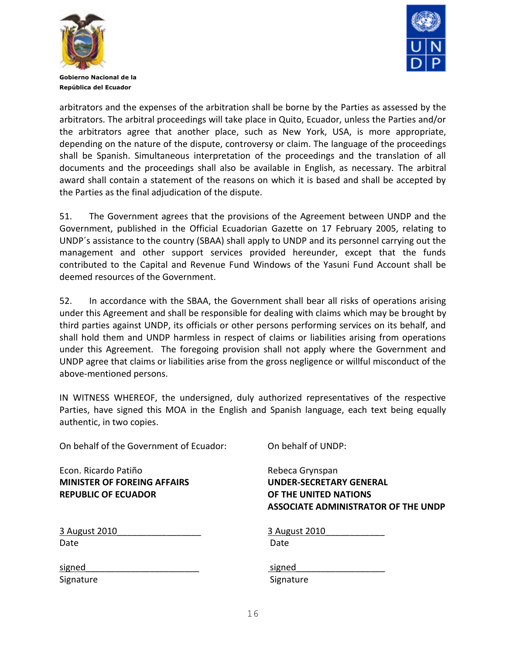



arbitrators and the expenses of the arbitration shall be borne by the Parties as assessed by the arbitrators. The arbitral proceedings will take place in Quito, Ecuador, unless the Parties and/or the arbitrators agree that another place, such as New York, USA, is more appropriate, depending on the nature of the dispute, controversy or claim. The language of the proceedings shall be Spanish. Simultaneous interpretation of the proceedings and the translation of all documents and the proceedings shall also be available in English, as necessary. The arbitral award shall contain a statement of the reasons on which it is based and shall be accepted by the Parties as the final adjudication of the dispute.

51. The Government agrees that the provisions of the Agreement between UNDP and the Government, published in the Official Ecuadorian Gazette on 17 February 2005, relating to UNDP´s assistance to the country (SBAA) shall apply to UNDP and its personnel carrying out the management and other support services provided hereunder, except that the funds contributed to the Capital and Revenue Fund Windows of the Yasuni Fund Account shall be deemed resources of the Government.

52. In accordance with the SBAA, the Government shall bear all risks of operations arising under this Agreement and shall be responsible for dealing with claims which may be brought by third parties against UNDP, its officials or other persons performing services on its behalf, and shall hold them and UNDP harmless in respect of claims or liabilities arising from operations under this Agreement. The foregoing provision shall not apply where the Government and UNDP agree that claims or liabilities arise from the gross negligence or willful misconduct of the above-mentioned persons.

IN WITNESS WHEREOF, the undersigned, duly authorized representatives of the respective Parties, have signed this MOA in the English and Spanish language, each text being equally authentic, in two copies.

On behalf of the Government of Ecuador: On behalf of UNDP:

Econ. Ricardo Patiño **Rebeca Grynspan MINISTER OF FOREING AFFAIRS UNDER-SECRETARY GENERAL REPUBLIC OF ECUADOR OF THE UNITED NATIONS**

**ASSOCIATE ADMINISTRATOR OF THE UNDP**

| 3 August 2010 | 3 Aug |
|---------------|-------|
| Date          | Date  |

3 August 2010\_\_\_\_\_\_\_\_\_\_\_\_\_\_\_\_\_ 3 August 2010\_\_\_\_\_\_\_\_\_\_\_\_

Signature Signature Signature Signature Signature

signed\_\_\_\_\_\_\_\_\_\_\_\_\_\_\_\_\_\_\_\_\_\_\_ signed\_\_\_\_\_\_\_\_\_\_\_\_\_\_\_\_\_\_